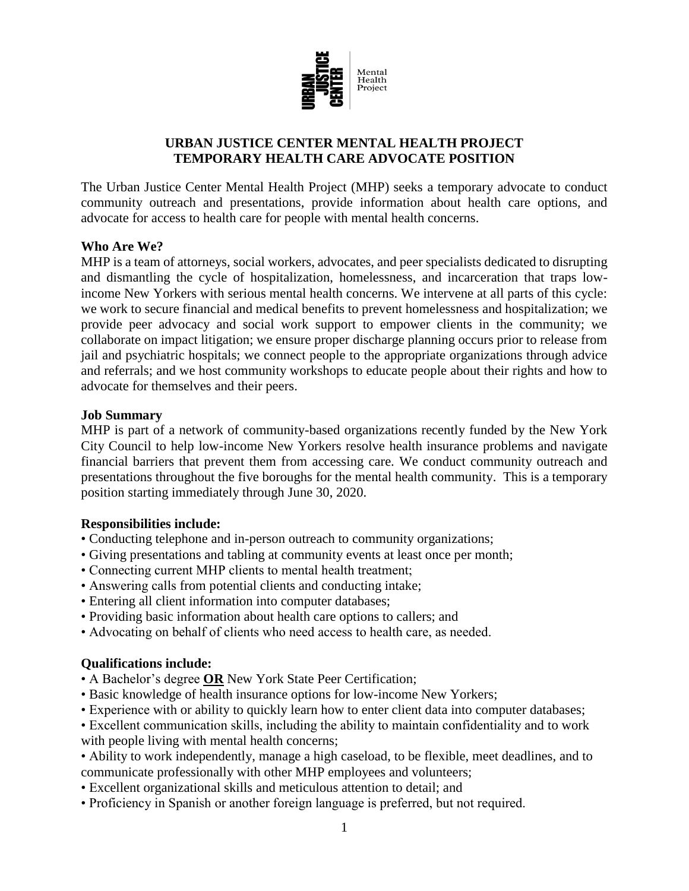

# **URBAN JUSTICE CENTER MENTAL HEALTH PROJECT TEMPORARY HEALTH CARE ADVOCATE POSITION**

The Urban Justice Center Mental Health Project (MHP) seeks a temporary advocate to conduct community outreach and presentations, provide information about health care options, and advocate for access to health care for people with mental health concerns.

# **Who Are We?**

MHP is a team of attorneys, social workers, advocates, and peer specialists dedicated to disrupting and dismantling the cycle of hospitalization, homelessness, and incarceration that traps lowincome New Yorkers with serious mental health concerns. We intervene at all parts of this cycle: we work to secure financial and medical benefits to prevent homelessness and hospitalization; we provide peer advocacy and social work support to empower clients in the community; we collaborate on impact litigation; we ensure proper discharge planning occurs prior to release from jail and psychiatric hospitals; we connect people to the appropriate organizations through advice and referrals; and we host community workshops to educate people about their rights and how to advocate for themselves and their peers.

#### **Job Summary**

MHP is part of a network of community-based organizations recently funded by the New York City Council to help low-income New Yorkers resolve health insurance problems and navigate financial barriers that prevent them from accessing care. We conduct community outreach and presentations throughout the five boroughs for the mental health community. This is a temporary position starting immediately through June 30, 2020.

# **Responsibilities include:**

- Conducting telephone and in-person outreach to community organizations;
- Giving presentations and tabling at community events at least once per month;
- Connecting current MHP clients to mental health treatment;
- Answering calls from potential clients and conducting intake;
- Entering all client information into computer databases;
- Providing basic information about health care options to callers; and
- Advocating on behalf of clients who need access to health care, as needed.

# **Qualifications include:**

- A Bachelor's degree **OR** New York State Peer Certification;
- Basic knowledge of health insurance options for low-income New Yorkers;
- Experience with or ability to quickly learn how to enter client data into computer databases;
- Excellent communication skills, including the ability to maintain confidentiality and to work with people living with mental health concerns;
- Ability to work independently, manage a high caseload, to be flexible, meet deadlines, and to communicate professionally with other MHP employees and volunteers;
- Excellent organizational skills and meticulous attention to detail; and
- Proficiency in Spanish or another foreign language is preferred, but not required.